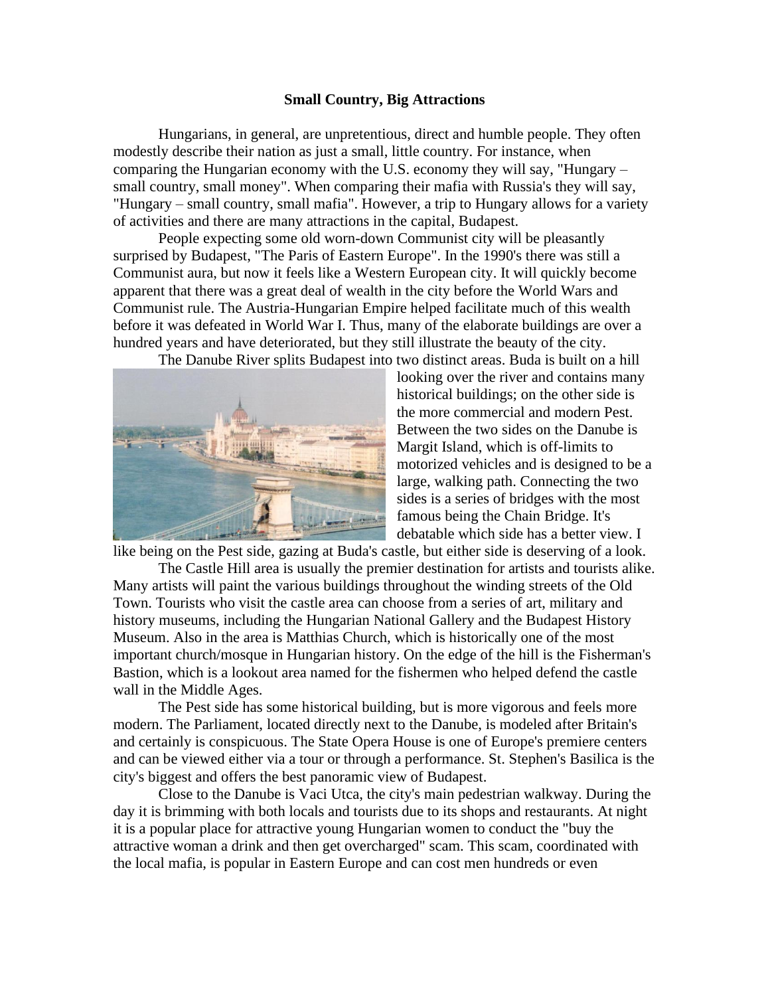## **Small Country, Big Attractions**

Hungarians, in general, are unpretentious, direct and humble people. They often modestly describe their nation as just a small, little country. For instance, when comparing the Hungarian economy with the U.S. economy they will say, "Hungary – small country, small money". When comparing their mafia with Russia's they will say, "Hungary – small country, small mafia". However, a trip to Hungary allows for a variety of activities and there are many attractions in the capital, Budapest.

People expecting some old worn-down Communist city will be pleasantly surprised by Budapest, "The Paris of Eastern Europe". In the 1990's there was still a Communist aura, but now it feels like a Western European city. It will quickly become apparent that there was a great deal of wealth in the city before the World Wars and Communist rule. The Austria-Hungarian Empire helped facilitate much of this wealth before it was defeated in World War I. Thus, many of the elaborate buildings are over a hundred years and have deteriorated, but they still illustrate the beauty of the city.

The Danube River splits Budapest into two distinct areas. Buda is built on a hill



looking over the river and contains many historical buildings; on the other side is the more commercial and modern Pest. Between the two sides on the Danube is Margit Island, which is off-limits to motorized vehicles and is designed to be a large, walking path. Connecting the two sides is a series of bridges with the most famous being the Chain Bridge. It's debatable which side has a better view. I

like being on the Pest side, gazing at Buda's castle, but either side is deserving of a look.

The Castle Hill area is usually the premier destination for artists and tourists alike. Many artists will paint the various buildings throughout the winding streets of the Old Town. Tourists who visit the castle area can choose from a series of art, military and history museums, including the Hungarian National Gallery and the Budapest History Museum. Also in the area is Matthias Church, which is historically one of the most important church/mosque in Hungarian history. On the edge of the hill is the Fisherman's Bastion, which is a lookout area named for the fishermen who helped defend the castle wall in the Middle Ages.

The Pest side has some historical building, but is more vigorous and feels more modern. The Parliament, located directly next to the Danube, is modeled after Britain's and certainly is conspicuous. The State Opera House is one of Europe's premiere centers and can be viewed either via a tour or through a performance. St. Stephen's Basilica is the city's biggest and offers the best panoramic view of Budapest.

Close to the Danube is Vaci Utca, the city's main pedestrian walkway. During the day it is brimming with both locals and tourists due to its shops and restaurants. At night it is a popular place for attractive young Hungarian women to conduct the "buy the attractive woman a drink and then get overcharged" scam. This scam, coordinated with the local mafia, is popular in Eastern Europe and can cost men hundreds or even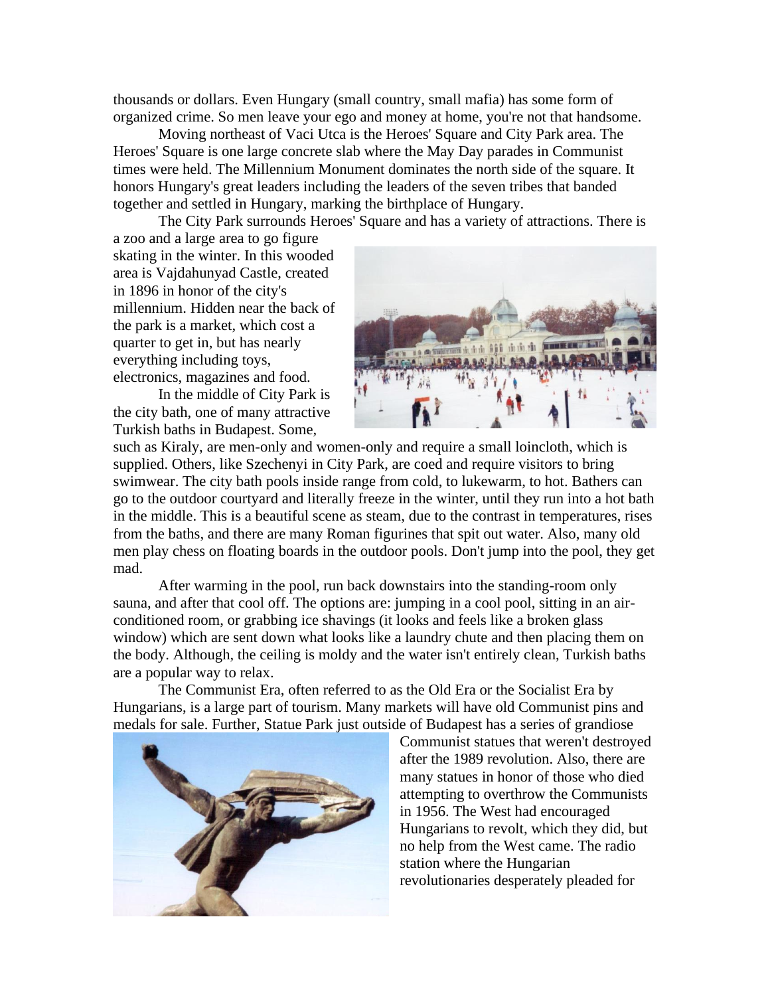thousands or dollars. Even Hungary (small country, small mafia) has some form of organized crime. So men leave your ego and money at home, you're not that handsome.

Moving northeast of Vaci Utca is the Heroes' Square and City Park area. The Heroes' Square is one large concrete slab where the May Day parades in Communist times were held. The Millennium Monument dominates the north side of the square. It honors Hungary's great leaders including the leaders of the seven tribes that banded together and settled in Hungary, marking the birthplace of Hungary.

The City Park surrounds Heroes' Square and has a variety of attractions. There is

a zoo and a large area to go figure skating in the winter. In this wooded area is Vajdahunyad Castle, created in 1896 in honor of the city's millennium. Hidden near the back of the park is a market, which cost a quarter to get in, but has nearly everything including toys, electronics, magazines and food.

In the middle of City Park is the city bath, one of many attractive Turkish baths in Budapest. Some,



such as Kiraly, are men-only and women-only and require a small loincloth, which is supplied. Others, like Szechenyi in City Park, are coed and require visitors to bring swimwear. The city bath pools inside range from cold, to lukewarm, to hot. Bathers can go to the outdoor courtyard and literally freeze in the winter, until they run into a hot bath in the middle. This is a beautiful scene as steam, due to the contrast in temperatures, rises from the baths, and there are many Roman figurines that spit out water. Also, many old men play chess on floating boards in the outdoor pools. Don't jump into the pool, they get mad.

After warming in the pool, run back downstairs into the standing-room only sauna, and after that cool off. The options are: jumping in a cool pool, sitting in an airconditioned room, or grabbing ice shavings (it looks and feels like a broken glass window) which are sent down what looks like a laundry chute and then placing them on the body. Although, the ceiling is moldy and the water isn't entirely clean, Turkish baths are a popular way to relax.

The Communist Era, often referred to as the Old Era or the Socialist Era by Hungarians, is a large part of tourism. Many markets will have old Communist pins and medals for sale. Further, Statue Park just outside of Budapest has a series of grandiose



Communist statues that weren't destroyed after the 1989 revolution. Also, there are many statues in honor of those who died attempting to overthrow the Communists in 1956. The West had encouraged Hungarians to revolt, which they did, but no help from the West came. The radio station where the Hungarian revolutionaries desperately pleaded for